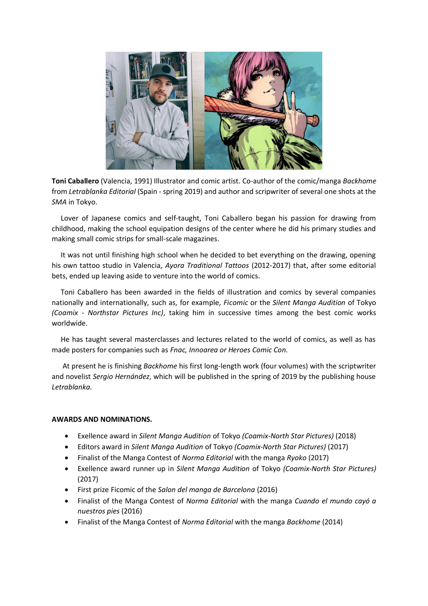

**Toni Caballero** (Valencia, 1991) Illustrator and comic artist. Co-author of the comic/manga *Backhome* from *Letrablanka Editorial* (Spain - spring 2019) and author and scripwriter of several one shots at the *SMA* in Tokyo.

 Lover of Japanese comics and self-taught, Toni Caballero began his passion for drawing from childhood, making the school equipation designs of the center where he did his primary studies and making small comic strips for small-scale magazines.

 It was not until finishing high school when he decided to bet everything on the drawing, opening his own tattoo studio in Valencia, *Ayora Traditional Tattoos* (2012-2017) that, after some editorial bets, ended up leaving aside to venture into the world of comics.

 Toni Caballero has been awarded in the fields of illustration and comics by several companies nationally and internationally, such as, for example, *Ficomic* or the *Silent Manga Audition* of Tokyo *(Coamix - Northstar Pictures Inc)*, taking him in successive times among the best comic works worldwide.

 He has taught several masterclasses and lectures related to the world of comics, as well as has made posters for companies such as *Fnac, Innoarea or Heroes Comic Con.*

 At present he is finishing *Backhome* his first long-length work (four volumes) with the scriptwriter and novelist *Sergio Hernández*, which will be published in the spring of 2019 by the publishing house *Letrablanka.*

## **AWARDS AND NOMINATIONS.**

- Exellence award in *Silent Manga Audition* of Tokyo *(Coamix-North Star Pictures)* (2018)
- Editors award in *Silent Manga Audition* of Tokyo *(Coamix-North Star Pictures)* (2017)
- Finalist of the Manga Contest of *Norma Editorial* with the manga *Ryoko* (2017)
- Exellence award runner up in *Silent Manga Audition* of Tokyo *(Coamix-North Star Pictures)*  (2017)
- First prize Ficomic of the *Salon del manga de Barcelona* (2016)
- Finalist of the Manga Contest of *Norma Editorial* with the manga *Cuando el mundo cayó a nuestros pies* (2016)
- Finalist of the Manga Contest of *Norma Editorial* with the manga *Backhome* (2014)